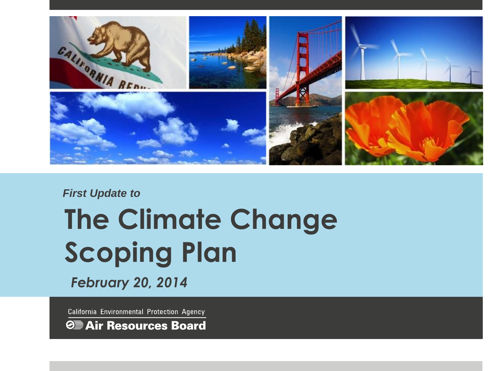

#### *First Update to*

# **The Climate Change Scoping Plan**

*February 20, 2014*

California Environmental Protection Agency

*S* Air Resources Board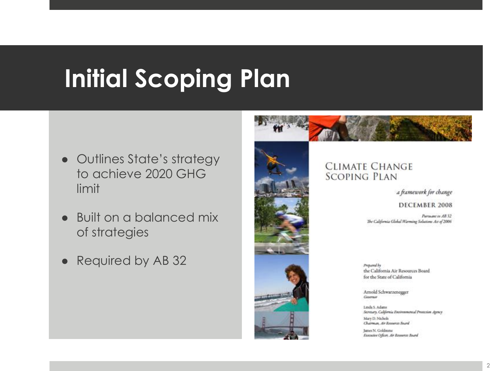# **Initial Scoping Plan**

- Outlines State's strategy to achieve 2020 GHG limit
- Built on a balanced mix of strategies
- Required by AB 32



#### **CLIMATE CHANGE SCOPING PLAN**

a framework for change

#### DECEMBER 2008

Pursuant to AB 32 The California Global Warming Solutions Act of 2006

Prepared by the California Air Resources Board for the State of California

Arnold Schwarzenegger Georgia

Linda S. Adams Secretary, California Environmental Printesion Agency Mary D. Nichols Chairman, Air Researce Board

James N. Goldstene Executive Officer, Air Resources Board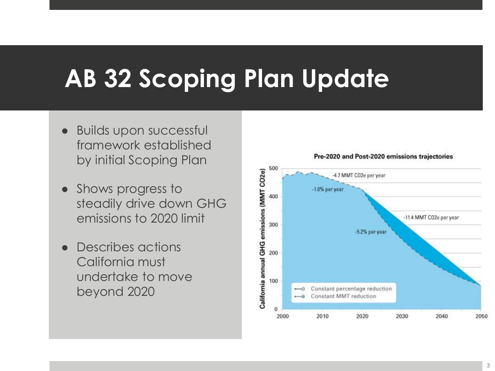# **AB 32 Scoping Plan Update**

- Builds upon successful framework established by initial Scoping Plan
- Shows progress to steadily drive down GHG emissions to 2020 limit
- Describes actions California must undertake to move beyond 2020

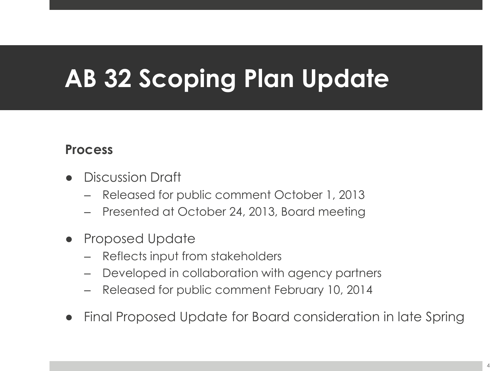# **AB 32 Scoping Plan Update**

#### **Process**

- **Discussion Draft** 
	- Released for public comment October 1, 2013
	- Presented at October 24, 2013, Board meeting
- **Proposed Update** 
	- Reflects input from stakeholders
	- Developed in collaboration with agency partners
	- Released for public comment February 10, 2014
- Final Proposed Update for Board consideration in late Spring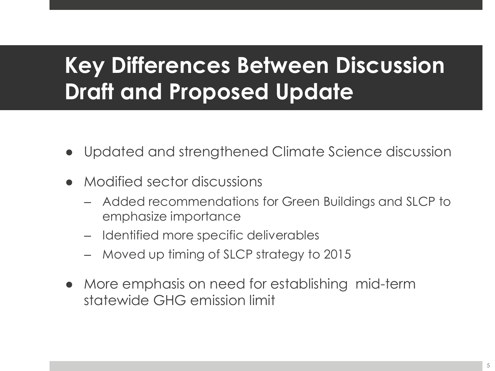### **Key Differences Between Discussion Draft and Proposed Update**

- Updated and strengthened Climate Science discussion
- Modified sector discussions
	- Added recommendations for Green Buildings and SLCP to emphasize importance
	- Identified more specific deliverables
	- Moved up timing of SLCP strategy to 2015
- More emphasis on need for establishing mid-term statewide GHG emission limit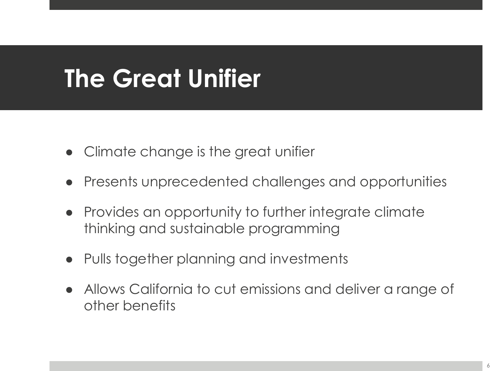# **The Great Unifier**

- Climate change is the great unifier
- Presents unprecedented challenges and opportunities
- Provides an opportunity to further integrate climate thinking and sustainable programming
- Pulls together planning and investments
- Allows California to cut emissions and deliver a range of other benefits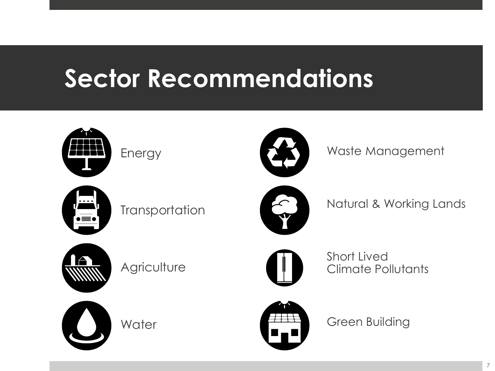## **Sector Recommendations**







Waste Management



**Transportation** 



Natural & Working Lands



**Agriculture** 



**Water** 



Short Lived Climate Pollutants

Green Building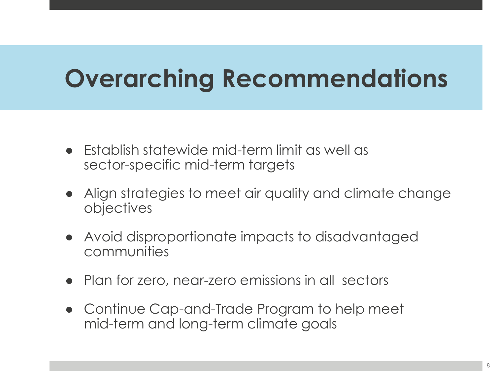# **Overarching Recommendations**

- Establish statewide mid-term limit as well as sector-specific mid-term targets
- Align strategies to meet air quality and climate change objectives
- Avoid disproportionate impacts to disadvantaged communities
- Plan for zero, near-zero emissions in all sectors
- Continue Cap-and-Trade Program to help meet mid-term and long-term climate goals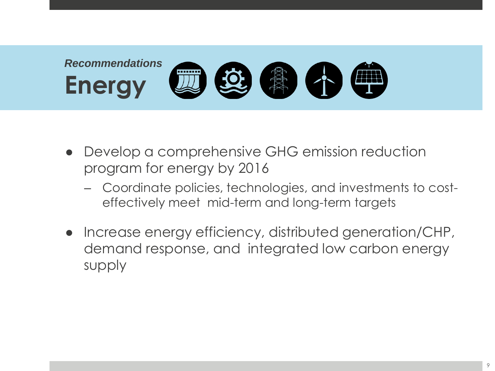

- Develop a comprehensive GHG emission reduction program for energy by 2016
	- Coordinate policies, technologies, and investments to costeffectively meet mid-term and long-term targets
- Increase energy efficiency, distributed generation/CHP, demand response, and integrated low carbon energy supply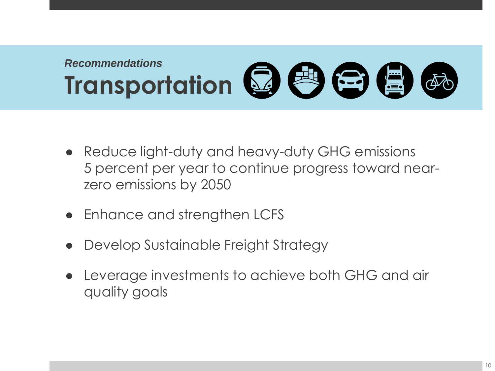#### *Recommendations* **Transportation** 2 卷 <del>2</del> 倍

- Reduce light-duty and heavy-duty GHG emissions 5 percent per year to continue progress toward nearzero emissions by 2050
- Enhance and strengthen LCFS
- Develop Sustainable Freight Strategy
- Leverage investments to achieve both GHG and air quality goals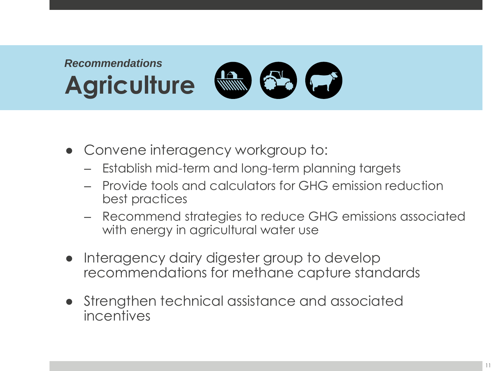#### *Recommendations* **TANK 63 FEB Agriculture**

- Convene interagency workgroup to:
	- Establish mid-term and long-term planning targets
	- Provide tools and calculators for GHG emission reduction best practices
	- Recommend strategies to reduce GHG emissions associated with energy in agricultural water use
- Interagency dairy digester group to develop recommendations for methane capture standards
- Strengthen technical assistance and associated incentives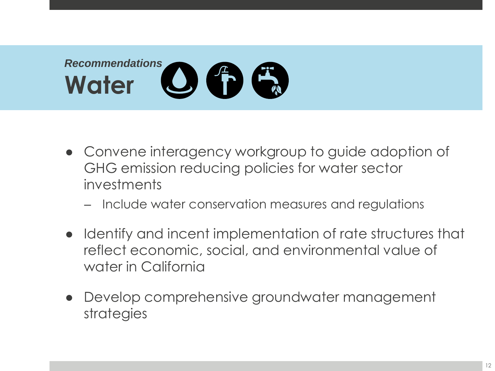

- Convene interagency workgroup to guide adoption of GHG emission reducing policies for water sector investments
	- Include water conservation measures and regulations
- Identify and incent implementation of rate structures that reflect economic, social, and environmental value of water in California
- Develop comprehensive groundwater management strategies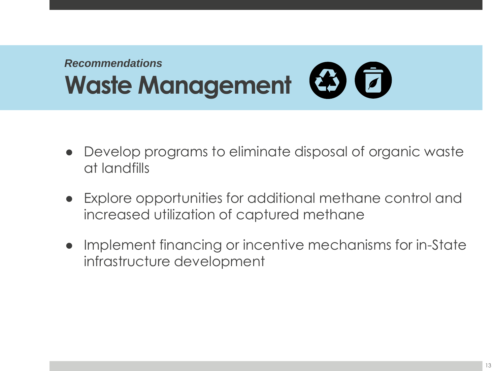#### *Recommendations* Waste Management **& F**

- Develop programs to eliminate disposal of organic waste at landfills
- Explore opportunities for additional methane control and increased utilization of captured methane
- Implement financing or incentive mechanisms for in-State infrastructure development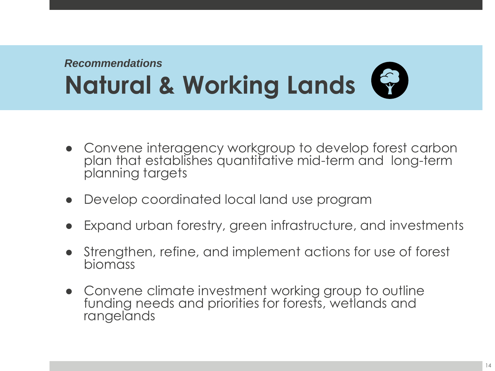#### *Recommendations* **Natural & Working Lands**

- Convene interagency workgroup to develop forest carbon plan that establishes quantitative mid-term and long-term planning targets
- Develop coordinated local land use program
- Expand urban forestry, green infrastructure, and investments
- Strengthen, refine, and implement actions for use of forest biomass
- Convene climate investment working group to outline funding needs and priorities for forests, wetlands and rangelands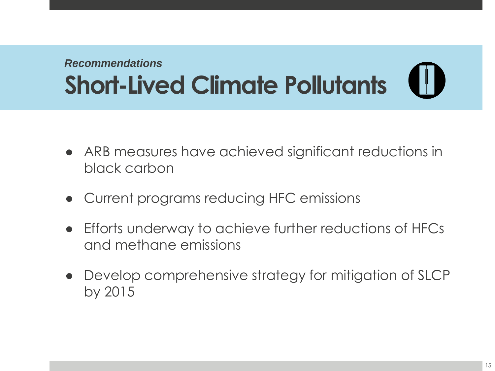#### *Recommendations* **Short-Lived Climate Pollutants**

- ARB measures have achieved significant reductions in black carbon
- Current programs reducing HFC emissions
- Efforts underway to achieve further reductions of HFCs and methane emissions
- Develop comprehensive strategy for mitigation of SLCP by 2015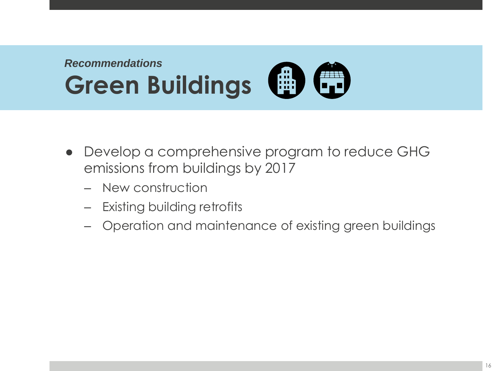

- Develop a comprehensive program to reduce GHG emissions from buildings by 2017
	- New construction
	- Existing building retrofits
	- Operation and maintenance of existing green buildings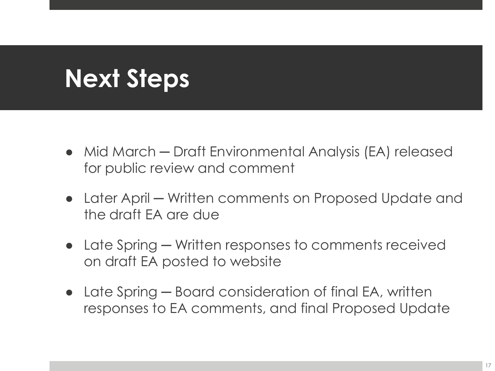## **Next Steps**

- Mid March Draft Environmental Analysis (EA) released for public review and comment
- Later April Written comments on Proposed Update and the draft EA are due
- Late Spring Written responses to comments received on draft EA posted to website
- Late Spring Board consideration of final EA, written responses to EA comments, and final Proposed Update